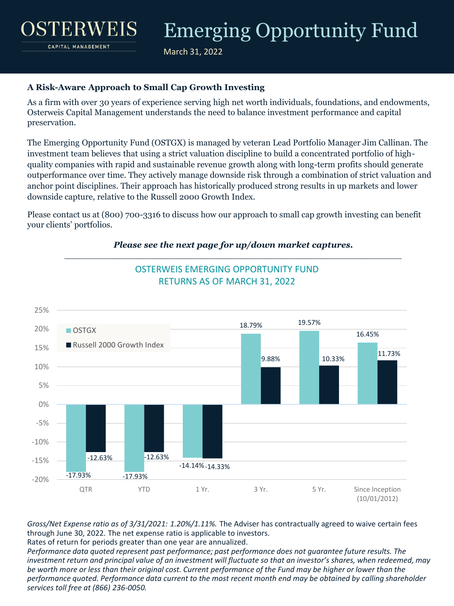March 31, 2022

### **A Risk-Aware Approach to Small Cap Growth Investing**

STERWEI

CAPITAL MANAGEMENT

As a firm with over 30 years of experience serving high net worth individuals, foundations, and endowments, Osterweis Capital Management understands the need to balance investment performance and capital preservation.

The Emerging Opportunity Fund (OSTGX) is managed by veteran Lead Portfolio Manager Jim Callinan. The investment team believes that using a strict valuation discipline to build a concentrated portfolio of highquality companies with rapid and sustainable revenue growth along with long-term profits should generate outperformance over time. They actively manage downside risk through a combination of strict valuation and anchor point disciplines. Their approach has historically produced strong results in up markets and lower downside capture, relative to the Russell 2000 Growth Index.

Please contact us at (800) 700-3316 to discuss how our approach to small cap growth investing can benefit your clients' portfolios.

OSTERWEIS EMERGING OPPORTUNITY FUND



#### *Please see the next page for up/down market captures.* \_\_\_\_\_\_\_\_\_\_\_\_\_\_\_\_\_\_\_\_\_\_\_\_\_\_\_\_\_\_\_\_\_\_\_\_\_\_\_\_\_\_\_\_\_\_\_\_\_\_\_\_\_\_\_\_\_\_\_\_\_\_\_

*Gross/Net Expense ratio as of 3/31/2021: 1.20%/1.11%.* The Adviser has contractually agreed to waive certain fees through June 30, 2022. The net expense ratio is applicable to investors.

Rates of return for periods greater than one year are annualized.

*Performance data quoted represent past performance; past performance does not guarantee future results. The*  investment return and principal value of an investment will fluctuate so that an investor's shares, when redeemed, may *be worth more or less than their original cost. Current performance of the Fund may be higher or lower than the performance quoted. Performance data current to the most recent month end may be obtained by calling shareholder services toll free at (866) 236-0050.*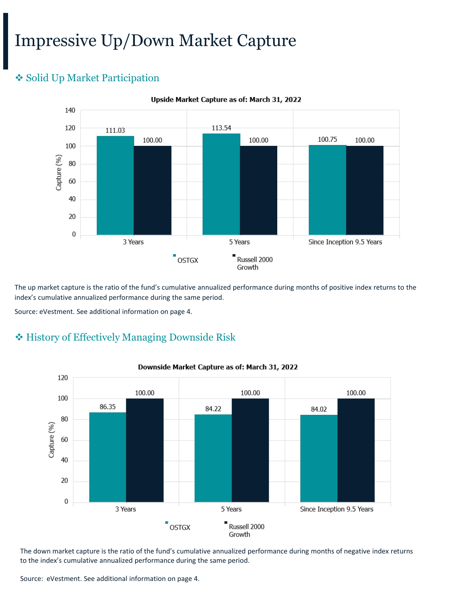## Impressive Up/Down Market Capture

## ❖ Solid Up Market Participation



Upside Market Capture as of: March 31, 2022

The up market capture is the ratio of the fund's cumulative annualized performance during months of positive index returns to the index's cumulative annualized performance during the same period.

Source: eVestment. See additional information on page 4.

## ❖ History of Effectively Managing Downside Risk



#### Downside Market Capture as of: March 31, 2022

The down market capture is the ratio of the fund's cumulative annualized performance during months of negative index returns to the index's cumulative annualized performance during the same period.

Source: eVestment. See additional information on page 4.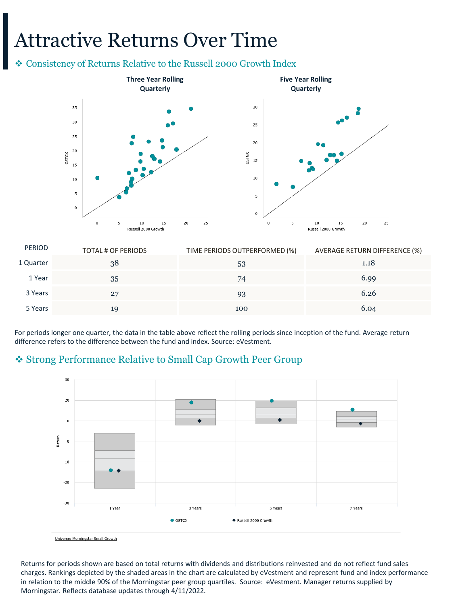## Attractive Returns Over Time

#### ❖ Consistency of Returns Relative to the Russell 2000 Growth Index



| <b>PERIOD</b> | TOTAL # OF PERIODS | TIME PERIODS OUTPERFORMED (%) | AVERAGE RETURN DIFFERENCE (%) |
|---------------|--------------------|-------------------------------|-------------------------------|
| 1 Quarter     | 38                 | 53                            | 1.18                          |
| 1 Year        | 35                 | 74                            | 6.99                          |
| 3 Years       | 27                 | 93                            | 6.26                          |
| 5 Years       | 19                 | 100                           | 6.04                          |

For periods longer one quarter, the data in the table above reflect the rolling periods since inception of the fund. Average return difference refers to the difference between the fund and index. Source: eVestment.

### ❖ Strong Performance Relative to Small Cap Growth Peer Group



Universe: Morningstar Small Growth

Returns for periods shown are based on total returns with dividends and distributions reinvested and do not reflect fund sales charges. Rankings depicted by the shaded areas in the chart are calculated by eVestment and represent fund and index performance in relation to the middle 90% of the Morningstar peer group quartiles. Source: eVestment. Manager returns supplied by Morningstar. Reflects database updates through 4/11/2022.